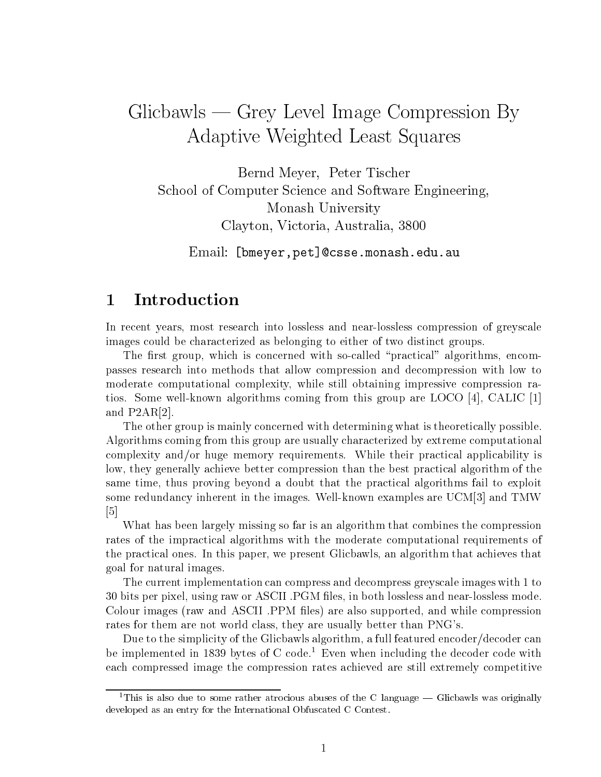# $G$ licbawls —  $G$ rey Level Image Compression By Adaptive Weighted Least Squares

Bernd Meyer, Peter Tischer School of Computer Science and Software Engineering Monash University Clayton Victoria Australia -

Email bmeyer-petcssemonasheduau

## Introduction

In recent years most research into lossless and near-lossless compression of greyscale images could be characterized as belonging to either of two distinct groups

The rst group which is concerned with so-called practical algorithms encompasses research into methods that allow compression and decompression with low to moderate computational complexity while still obtaining impressive compression ratios Some well-known algorithms coming from this group are LOCO CALIC  $\blacksquare$ and  $P2AR[2]$ .

The other group is mainly concerned with determining what is theoretically possible Algorithms coming from this group are usually characterized by extreme computational complexity and/or huge memory requirements. While their practical applicability is low, they generally achieve better compression than the best practical algorithm of the same time, thus proving beyond a doubt that the practical algorithms fail to exploit some redundancy inherent in the images well-understanding in the images were the image  $\sim$  the  $\sim$  $\lceil 5 \rceil$ 

What has been largely missing so far is an algorithm that combines the compression rates of the impractical algorithms with the moderate computational requirements of the practical ones. In this paper, we present Glicbawls, an algorithm that achieves that goal for natural images

The current implementation can compress and decompress greyscale images with to bits per pixel using raw or ASCII PGM les in both lossless and near-lossless mode Colour images (raw and ASCII PPM files) are also supported, and while compression rates for them are not world class, they are usually better than PNG's.

Due to the simplicity of the Glicbawls algorithm, a full featured encoder/decoder can be implemented in 1859 bytes of  $\cup$  code. Even when including the decoder code with each compressed image the compression rates achieved are still extremely competitive

<sup>&</sup>lt;sup>1</sup>This is also due to some rather atrocious abuses of the C language  $-$  Glicbawls was originally developed as an entry for the International Obfuscated C Contest-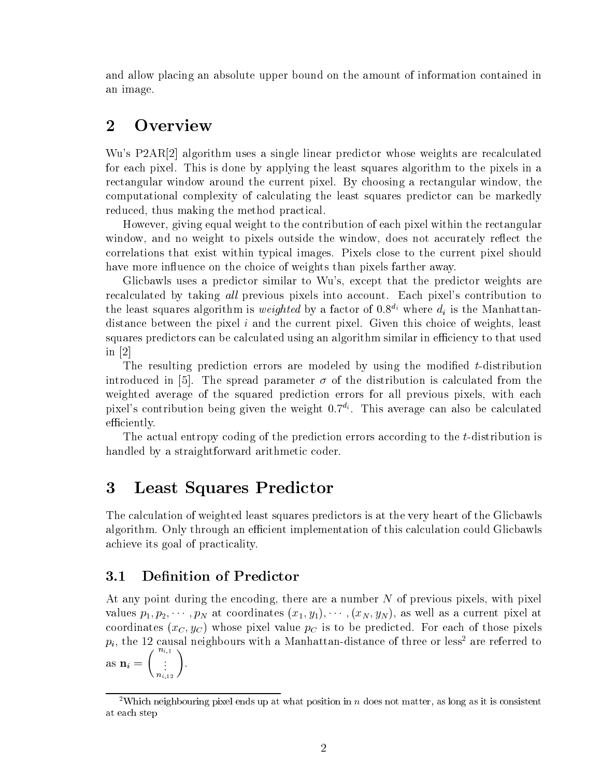and allow placing an absolute upper bound on the amount of information contained in an image

#### $\overline{2}$ **Overview**

Wu's  $P2AR[2]$  algorithm uses a single linear predictor whose weights are recalculated for each pixel. This is done by applying the least squares algorithm to the pixels in a rectangular window around the current pixel. By choosing a rectangular window, the computational complexity of calculating the least squares predictor can be markedly reduced, thus making the method practical.

However, giving equal weight to the contribution of each pixel within the rectangular window, and no weight to pixels outside the window, does not accurately reflect the correlations that exist within typical images Pixels close to the current pixel should have more influence on the choice of weights than pixels farther away.

Glicbawls uses a predictor similar to Wu's, except that the predictor weights are recalculated by taking all previous pixels into account. Each pixel's contribution to the least squares algorithm is *weighted* by a factor of  $0.8^{d_i}$  where  $d_i$  is the Manhattandistance between the pixel  $i$  and the current pixel. Given this choice of weights, least squares predictors can be calculated using an algorithm similar in efficiency to that used in  $[2]$ 

 $T$  resulting prediction errors are modeled by using the modeled by using the modied t-modied t-modied t-modied t-modied t-modied t-modied t-modied t-modied t-modied t-modied t-modied t-modied t-modied t-modied t-modied t introduced in  $\mathcal{O}(n)$  . The spread parameter - of the distribution is calculated from the distribution is ca weighted average of the squared prediction errors for all previous pixels, with each pixels contribution being given the weight di This average can also be calculated efficiently.

The actual entropy coding of the prediction errors according to the t-distribution is handled by a straightforward arithmetic coder.

## Least Squares Predictor

The calculation of weighted least squares predictors is at the very heart of the Glicbawls algorithm. Only through an efficient implementation of this calculation could Glicbawls achieve its goal of practicality

#### $3.1\,$ Definition of Predictor

ni-

At any point during the encoding, there are a number  $N$  of previous pixels, with pixel values  $p_1, p_2, \ldots, p_N$  at coolumnates  $\{x_1, y_1, \ldots, x_N, y_N\}$ , as well as a current pixel at coordinates  $(x_C, y_C)$  whose pixel value  $p_C$  is to be predicted. For each of those pixels  $p_i$ , the 12 causal neighbours with a Manhattan-distance of three or less- are referred to  $\overline{\phantom{a}}$  nice  $\overline{\phantom{a}}$  is a set of  $\overline{\phantom{a}}$  is a set of  $\overline{\phantom{a}}$  is a set of  $\overline{\phantom{a}}$  is a set of  $\overline{\phantom{a}}$  is a set of  $\overline{\phantom{a}}$  is a set of  $\overline{\phantom{a}}$  is a set of  $\overline{\phantom{a}}$  is a set of  $\overline{\phantom{a}}$   $\left\langle \begin{array}{ccc} 1 & 0 & 1 \\ 0 & 1 & 1 \end{array} \right\rangle$  $\begin{pmatrix} 1,1 \ 1,1 \ 1,2 \end{pmatrix}$ .

<sup>-</sup> Which neighbouring pixel ends up at what position in  $n$  does not matter, as long as it is consistent at each step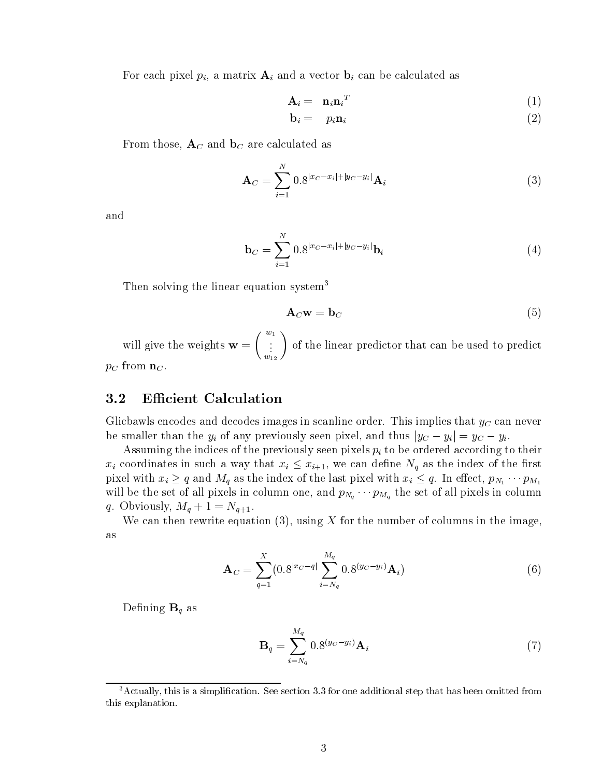For each pixel  $p_i$ , a matrix  $A_i$  and a vector  $b_i$  can be calculated as

$$
\mathbf{A}_i = \left[ \mathbf{n}_i \mathbf{n}_i^T \right] \tag{1}
$$

$$
\mathbf{b}_i = p_i \mathbf{n}_i \tag{2}
$$

From those,  $A_C$  and  $b_C$  are calculated as

$$
\mathbf{A}_C = \sum_{i=1}^N 0.8^{|x_C - x_i| + |y_C - y_i|} \mathbf{A}_i
$$
 (3)

and

$$
\mathbf{b}_C = \sum_{i=1}^N 0.8^{|x_C - x_i| + |y_C - y_i|} \mathbf{b}_i
$$
 (4)

Then solving the linear equation system<sup>3</sup>

$$
A_C w = b_C \tag{5}
$$

will give the weights will give the weights will be a set of the weights will be a set of the weight of the weights will be a set of the weights will be a set of the weights will be a set of the weights will be a set of th  $\sqrt{w_1}$  $\left(\begin{smallmatrix} v_1 \ \vdots \end{smallmatrix}\right)$  of the linear -- 12 of the linear predictor that can be used to predictor that can be used to predict our predictor that can be used to predict our predictor that can be used to predict our predictor of the used to predict our predictor of th  $p_C$  from  $\mathbf{n}_C$ .

#### 3.2 **Efficient Calculation**

Glicbawls encodes and decodes images in scanline order. This implies that  $y_C$  can never be smaller than the  $y_i$  of any previously seen pixels for the thus  $y_i$ C -  $y_i$  ,  $y_i$ 

Assuming the indices of the previously seen pixels  $p_i$  to be ordered according to their  $x_i$  coordinates in such a way that  $x_i \leq x_{i+1}$ , we can define  $N_q$  as the index of the first pixels with  $\alpha$   $\alpha$   $\alpha$  as the independence of the last pixels with  $\alpha$   $\alpha$   $\alpha$   $\alpha$  in equation  $\alpha$   $\alpha$   $\alpha$ with set of all pixels in pixels in columnation one) and p $\mu_{Nq}$  . If  $m_q$  the set of all pixels in columnation  $\gamma$  . Obviously  $\gamma$  and  $\gamma$  and  $\gamma$  and  $\gamma$  are  $\gamma$  . The contract of  $\gamma$ 

We can then rewrite equation (3), using X for the number of columns in the image, as

$$
\mathbf{A}_C = \sum_{q=1}^X (0.8^{|x_C - q|} \sum_{i=N_q}^{M_q} 0.8^{(y_C - y_i)} \mathbf{A}_i)
$$
(6)

Defining  $\mathbf{B}_q$  as

$$
\mathbf{B}_{q} = \sum_{i=N_q}^{M_q} 0.8^{(y_C - y_i)} \mathbf{A}_{i}
$$
 (7)

<sup>-</sup>Actually, this is a simplification. See section 5.5 for one additional step that has been omitted from this explanation.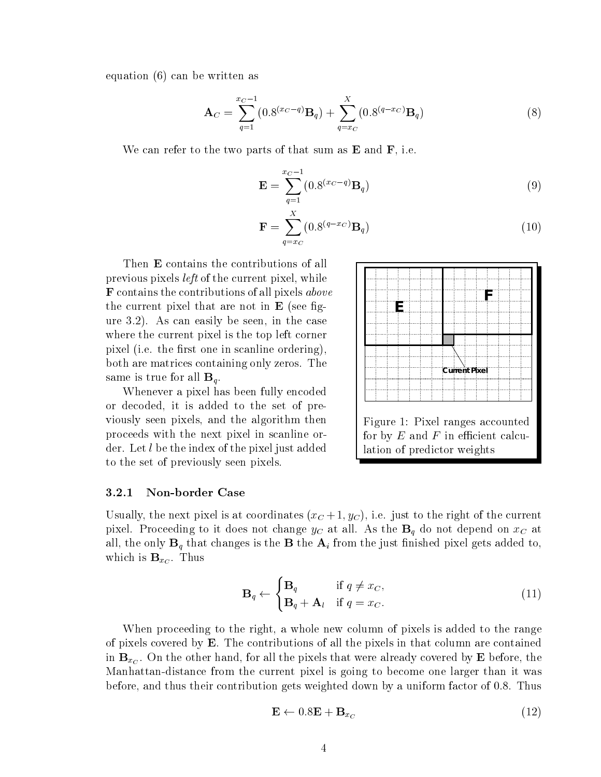equation  $(6)$  can be written as

$$
\mathbf{A}_C = \sum_{q=1}^{x_C - 1} (0.8^{(x_C - q)} \mathbf{B}_q) + \sum_{q=x_C}^{X} (0.8^{(q-x_C)} \mathbf{B}_q)
$$
(8)

We can refer to the two parts of that sum as  $E$  and  $F$ , i.e.

$$
\mathbf{E} = \sum_{q=1}^{x_C - 1} (0.8^{(x_C - q)} \mathbf{B}_q)
$$
 (9)

$$
\mathbf{F} = \sum_{q=x_C}^{X} (0.8^{(q-x_C)} \mathbf{B}_q)
$$
 (10)

Then E contains the contributions of all previous pixels *left* of the current pixel, while  $$ the current pixel that are not in  $E$  (see figure  $3.2$ ). As can easily be seen, in the case where the current pixel is the top left corner pixel (i.e. the first one in scanline ordering), both are matrices containing only zeros. The same is true for all  $\mathbf{B}_q$ .

Whenever a pixel has been fully encoded or decoded, it is added to the set of previously seen pixels, and the algorithm then proceeds with the next pixel in scanline order. Let  $l$  be the index of the pixel just added to the set of previously seen pixels



### Non-border Case

Usually the next pixel is at coordinates xC yC ie just to the right of the current pixel. Proceeding to it does not change  $y_C$  at all. As the  $\mathbf{B}_q$  do not depend on  $x_C$  at all, the only  $\mathbf{B}_q$  that changes is the  $\mathbf{B}$  the  $\mathbf{A}_i$  from the just finished pixel gets added to, which is  $\mathbf{B}_{x_C}$ . Thus

$$
\mathbf{B}_{q} \leftarrow \begin{cases} \mathbf{B}_{q} & \text{if } q \neq x_{C}, \\ \mathbf{B}_{q} + \mathbf{A}_{l} & \text{if } q = x_{C}. \end{cases}
$$
(11)

When proceeding to the right, a whole new column of pixels is added to the range of pixels covered by  $E$ . The contributions of all the pixels in that column are contained in  $B_{x_C}$ . On the other hand, for all the pixels that were already covered by **E** before, the Manhattan-distance from the current pixel is going to become one larger than it was before, and thus their contribution gets weighted down by a uniform factor of  $0.8$ . Thus

$$
\mathbf{E} \leftarrow 0.8\mathbf{E} + \mathbf{B}_{x_C} \tag{12}
$$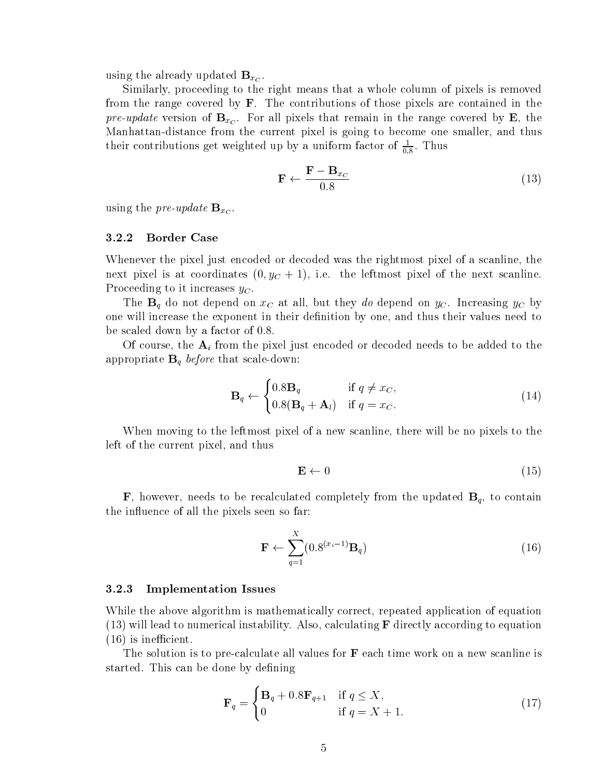using the already updated  $B_{x_C}$ .

Similarly, proceeding to the right means that a whole column of pixels is removed from the range covered by  $\bf{F}$ . The contributions of those pixels are contained in the  $p \mapsto \alpha p$  and  $p \mapsto \alpha p$  is  $p \mapsto \alpha p$  for all pixels that remain in the range covered by  $\Rightarrow$ , the  $\mathbf{d}$  distance from the current pixel is going to become one smaller and thus become one smaller and thus  $\mathbf{d}$ their contributions get weighted up by a uniform factor of  $\frac{1}{\epsilon_0}$ . Thus

$$
\mathbf{F} \leftarrow \frac{\mathbf{F} - \mathbf{B}_{x_C}}{0.8} \tag{13}
$$

using the pre-update  $\mathbf{B}_{x_C}$ .

### Border Case

Whenever the pixel just encoded or decoded was the rightmost pixel of a scanline, the hence pixel is at coordinates  $\{0, y_{\rm C} + 1\}$ , i.e. the fertimost pixel of the next scanline. Proceeding to it increases  $y_C$ .

The  $B_q$  do not depend on  $x_c$  at all, but they do depend on  $y_c$ . Increasing  $y_c$  by one will increase the exponent in their definition by one, and thus their values need to be scaled down by a factor of

Of course, the  $A_i$  from the pixel just encoded or decoded needs to be added to the appropriate  $\alpha$  and  $\alpha$  before the scale that scales the scale of  $\alpha$ 

$$
\mathbf{B}_{q} \leftarrow \begin{cases} 0.8\mathbf{B}_{q} & \text{if } q \neq x_{C}, \\ 0.8(\mathbf{B}_{q} + \mathbf{A}_{l}) & \text{if } q = x_{C}. \end{cases} \tag{14}
$$

When moving to the leftmost pixel of a new scanline, there will be no pixels to the left of the current pixel, and thus

$$
\mathbf{E} \leftarrow 0 \tag{15}
$$

**F**, however, needs to be recalculated completely from the updated  $\mathbf{B}_q$ , to contain the influence of all the pixels seen so far:

$$
\mathbf{F} \leftarrow \sum_{q=1}^{X} (0.8^{(x_i - 1)} \mathbf{B}_q)
$$
 (16)

### Implementation Issues

While the above algorithm is mathematically correct, repeated application of equation will also calculating  $F$  directly according to  $F$  directly according to equation  $F$  directly according to equation  $F$ is inecient

The solution is to pre-calculate all values for F each time work on a new scanline is started. This can be done by defining

$$
\mathbf{F}_q = \begin{cases} \mathbf{B}_q + 0.8 \mathbf{F}_{q+1} & \text{if } q \le X, \\ 0 & \text{if } q = X + 1. \end{cases}
$$
 (17)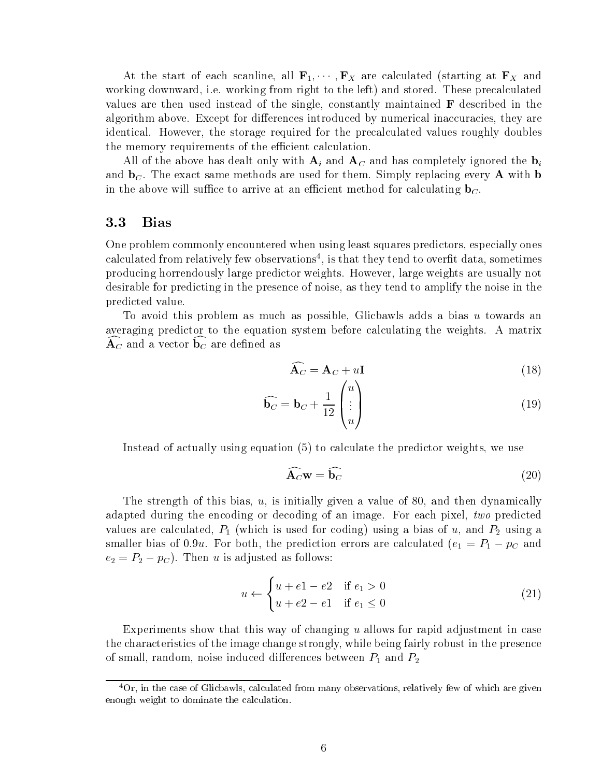At the start of each scanline, all  $\mathbf{F}_1, \cdots, \mathbf{F}_X$  are calculated (starting at  $\mathbf{F}_X$  and working downward, i.e. working from right to the left) and stored. These precalculated values are then used instead of the single, constantly maintained  $\bf{F}$  described in the algorithm above. Except for differences introduced by numerical inaccuracies, they are identical. However, the storage required for the precalculated values roughly doubles the memory requirements of the efficient calculation.

All of the above has dealt only with  $A_i$  and  $A_c$  and has completely ignored the  $b_i$ and  $\mathbf{b}_C$ . The exact same methods are used for them. Simply replacing every **A** with **b** in the above will suffice to arrive at an efficient method for calculating  $\mathbf{b}_C$ .

#### 3.3 Bias

One problem commonly encountered when using least squares predictors, especially ones calculated from relatively lew observations", is that they tend to overht data, sometimes producing horrendously large predictor weights However large weights are usually not desirable for predicting in the presence of noise, as they tend to amplify the noise in the predicted value

To avoid this problem as much as possible, Glicbawls adds a bias  $u$  towards an averaging predictor to the equation system before calculating the weights. A matrix  ${\bf A}_C$  and a vector  ${\bf b}_C$  are defined as

$$
\widehat{\mathbf{A}_C} = \mathbf{A}_C + u\mathbf{I}
$$
\n(18)

$$
\widehat{\mathbf{b}_C} = \mathbf{b}_C + \frac{1}{12} \begin{pmatrix} u \\ \vdots \\ u \end{pmatrix}
$$
 (19)

Instead of actually using equation  $(5)$  to calculate the predictor weights, we use

$$
\widehat{\mathbf{A}_C} \mathbf{w} = \widehat{\mathbf{b}_C} \tag{20}
$$

The strength of this bias,  $u$ , is initially given a value of 80, and then dynamically adapted during the encoding or decoding of an image. For each pixel, two predicted values are calculated P which is used for  $\alpha$  and  $\alpha$  and  $\alpha$  are coding  $\alpha$  bias of  $\alpha$  and  $\alpha$ smaller bias of under the prediction prediction errors are calculated the predictions  $\mathcal{C}_1$  -  $\mathcal{C}_2$  -  $\mathcal{C}_3$  $\mathbb{P}_4$  -  $\mathbb{P}_2$  ,  $\mathbb{P}_1$  is a following as follows. The following assumption of  $\mathbb{P}_2$ 

$$
u \leftarrow \begin{cases} u + e1 - e2 & \text{if } e_1 > 0 \\ u + e2 - e1 & \text{if } e_1 \le 0 \end{cases} \tag{21}
$$

Experiments show that this way of changing <sup>u</sup> allows for rapid adjustment in case the characteristics of the image change strongly while being fairly robust in the presence of small, random, noise induced differences between  $P_1$  and  $P_2$ 

 ${}^{4}$ Or, in the case of Glicbawls, calculated from many observations, relatively few of which are given enough weight to dominate the calculation-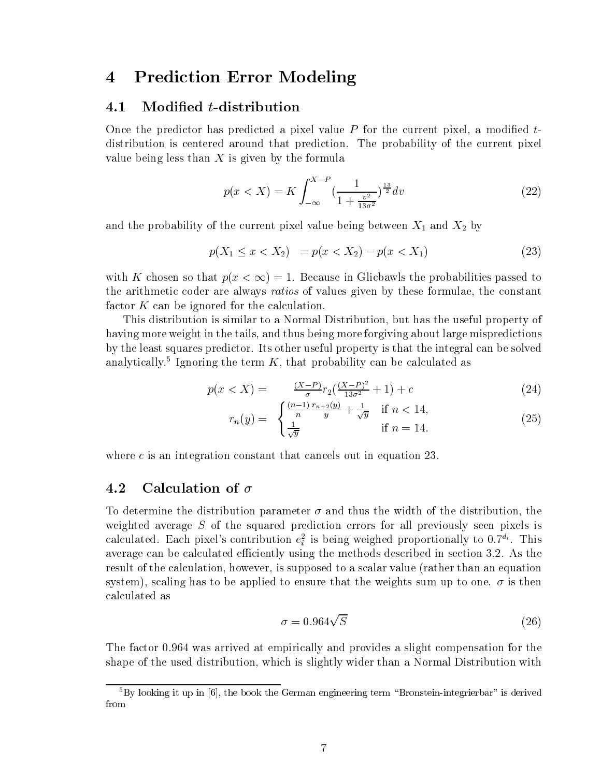#### Prediction Error Modeling 4

#### 4.1 Modified *t*-distribution

Once the predictor has predicted a pixel value  $P$  for the current pixel, a modified  $t$ distribution is centered around that prediction. The probability of the current pixel value being less than  $X$  is given by the formula

$$
p(x < X) = K \int_{-\infty}^{X-P} \left(\frac{1}{1 + \frac{v^2}{13\sigma^2}}\right)^{\frac{13}{2}} dv
$$
 (22)

and the probability of the current pixels value being between  $\alpha$  and  $\alpha$  and  $\alpha$ 

$$
p(X_1 \le x < X_2) = p(x < X_2) - p(x < X_1) \tag{23}
$$

 $m_{\rm tot}$  is chosen so that  $p_{\rm t}$   $\alpha$   $\sim$   $\beta$   $\alpha$  is geodalo in Gricbawillic probabilities passed to the arithmetic coder are always *ratios* of values given by these formulae, the constant factor  $K$  can be ignored for the calculation.

This distribution is similar to a Normal Distribution, but has the useful property of having more weight in the tails, and thus being more forgiving about large mispredictions by the least squares predictor. Its other useful property is that the integral can be solved analytically. Tghoring the term  $K$ , that probability can be calculated as

$$
p(x < X) = \frac{(X-P)}{\sigma} r_2 \left(\frac{(X-P)^2}{13\sigma^2} + 1\right) + c \tag{24}
$$

$$
r_n(y) = \begin{cases} \frac{(n-1)}{n} \frac{r_{n+2}(y)}{y} + \frac{1}{\sqrt{y}} & \text{if } n < 14, \\ \frac{1}{\sqrt{y}} & \text{if } n = 14. \end{cases}
$$
 (25)

where  $c$  is an integration constant that cancels out in equation 23.

### 4.2 Calculation of  $\sigma$

To determine the distribution parameter - and thus the width of the distribution the weighted average <sup>S</sup> of the squared prediction errors for all previously seen pixels is calculated. Each pixel s contribution  $e_i$  is being weighed proportionally to 0.7 °. This average can be calculated efficiently using the methods described in section 3.2. As the result of the calculation, however, is supposed to a scalar value (rather than an equation system scaling has to be applied to ensure that the weights sum up to one - is then calculated as

$$
\sigma = 0.964\sqrt{S} \tag{26}
$$

The factor 0.964 was arrived at empirically and provides a slight compensation for the shape of the used distribution which is slightly wider than a Normal Distribution with

By looking it up in  $\rvert 0 \vert$ , the book the German engineering term  $\rvert$  bronstein-integrierbar  $\rvert$  is derived from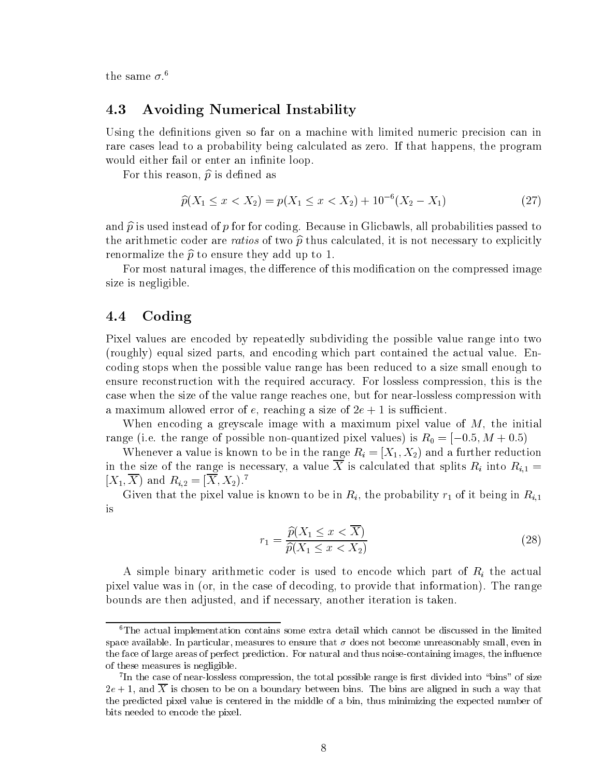$\mu$  ine same  $\sigma$  .

### Avoiding Numerical Instability

Using the definitions given so far on a machine with limited numeric precision can in rare cases lead to a probability being calculated as zero. If that happens, the program would either fail or enter an infinite loop.

For this reason,  $\hat{p}$  is defined as

$$
\widehat{p}(X_1 \le x < X_2) = p(X_1 \le x < X_2) + 10^{-6}(X_2 - X_1) \tag{27}
$$

and  $\hat{p}$  is used instead of p for for coding. Because in Glicbawls, all probabilities passed to the arithmetic coder are ratios of two  $\hat{p}$  thus calculated, it is not necessary to explicitly renormalize the  $\hat{p}$  to ensure they add up to 1.

For most natural images, the difference of this modification on the compressed image size is negligible

#### $4.4\,$ Coding

Pixel values are encoded by repeatedly subdividing the possible value range into two (roughly) equal sized parts, and encoding which part contained the actual value. Encoding stops when the possible value range has been reduced to a size small enough to ensure reconstruction with the required accuracy. For lossless compression, this is the case when the size of the value range reaches one but for near-lossless compression with a maximum allowed error of extension and extending a size of extending a size of extension  $\mathcal{L}$ 

When encoding a greyscale image with a maximum pixel value of  $M$ , the initial  $r_{\text{max}}$  is the range of possible non-quantumed pixel (arrow) is FeU and  $\alpha$  is  $r_{\text{max}}$  and  $\alpha$ 

Whenever a value is known to be in the range Ri X X- and a further reduction in the size of the range is necessary, a value  $\overline{X}$  is calculated that splits  $R_i$  into  $R_{i,1}$  =  $\Lambda_1, \Lambda$  and  $\Lambda_{i,2} = \Lambda, \Lambda_2$ .

Given that the pixel value is known to be in  $R_i$ , the probability  $r_1$  of it being in  $R_{i,1}$ is

$$
r_1 = \frac{\widehat{p}(X_1 \le x < \overline{X})}{\widehat{p}(X_1 \le x < X_2)}\tag{28}
$$

A simple binary arithmetic coder is used to encode which part of  $R_i$  the actual pixel value was in (or, in the case of decoding, to provide that information). The range bounds are then adjusted, and if necessary, another iteration is taken.

The actual implementation contains some extra detail which cannot be discussed in the limited space available- in particular measures to ensure the doctor of the state of the small except in the state of the small even in the state of the state of the state of the state of the state of the state of the state of the the face of large areas of perfect prediction- For natural and thus noise containing images the inuence of these measures is negligible-

In the case of near-lossless compression, the total possible range is first divided into whils workize e , e, we see the bins are all the bins are aligned in such an area bins are aligned in such a such that  $\alpha$ the predicted pixel value is centered in the middle of a bin, thus minimizing the expected number of bits needed to encode the pixel-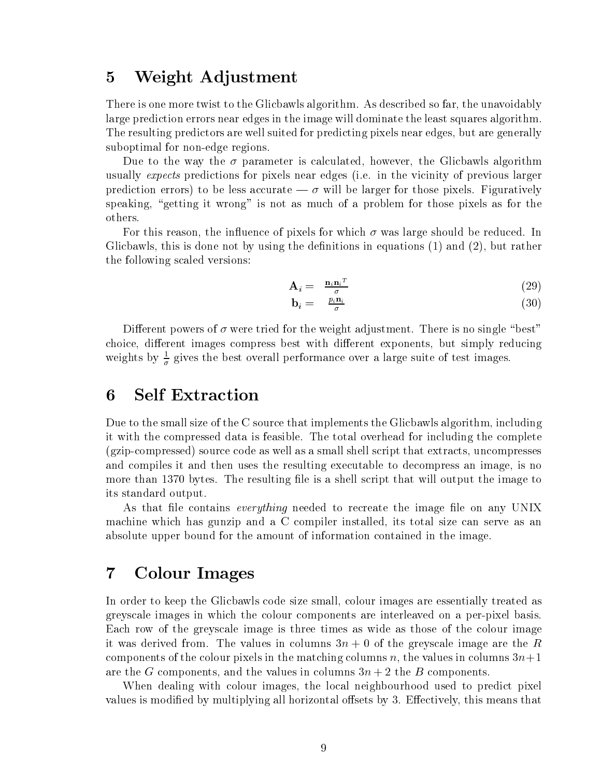### Weight Adjustment

There is one more twist to the Glicbawls algorithm. As described so far, the unavoidably large prediction errors near edges in the image will dominate the least squares algorithm The resulting predictors are well suited for predicting pixels near edges, but are generally edge regions and the region of  $\mathcal{A}$ 

Due to the way the - parameter is calculated however the Glicbawls algorithm usually expects predictions for pixels near edges (i.e. in the vicinity of previous larger prediction errors to be less accurate - willbe larger for those pixels Figuratively speaking, "getting it wrong" is not as much of a problem for those pixels as for the others

For this reason the inuence of pixels for which - was large should be reduced In Glicbawls this is done not by using the denitions in equations and but rather the following scaled versions

$$
\mathbf{A}_{i} = \frac{\mathbf{n}_{i}\mathbf{n}_{i}^{T}}{\sigma} \tag{29}
$$

$$
\mathbf{b}_i = \frac{p_i \mathbf{n}_i}{\sigma} \tag{30}
$$

Dierent powers of - were tried for the weight adjustment There is no single best choice, different images compress best with different exponents, but simply reducing weights by  $\frac{2}{\sigma}$  gives the best overall performance over a large suite of test images.

#### **Self Extraction** 6

Due to the small size of the C source that implements the Glicbawls algorithm, including it with the compressed data is feasible The total overhead for including the complete gzip-compressed source code as well as a small shell script that extracts uncompresses and compiles it and then uses the resulting executable to decompress an image, is no more than the resulting letter than the resulting letter that will output the image that  $\pi$  is a shell output that will output the image to the image to the image to the image to the image to the image to the image of th its standard output

As that file contains *everything* needed to recreate the image file on any UNIX machine which has gunzip and a C compiler installed, its total size can serve as an absolute upper bound for the amount of information contained in the image

## Colour Images

In order to keep the Glicbawls code size small, colour images are essentially treated as greyscale images in which the colour components are interleaved on a per-pixel basis Each row of the greyscale image is three times as wide as those of the colour image it was derived from. The values in columns  $3n + 0$  of the greyscale image are the R components of the colour pixels in the matching columns  $n$ , the values in columns  $3n+1$ are the G components, and the values in columns  $3n + 2$  the B components.

When dealing with colour images, the local neighbourhood used to predict pixel values is modified by multiplying all horizontal offsets by 3. Effectively, this means that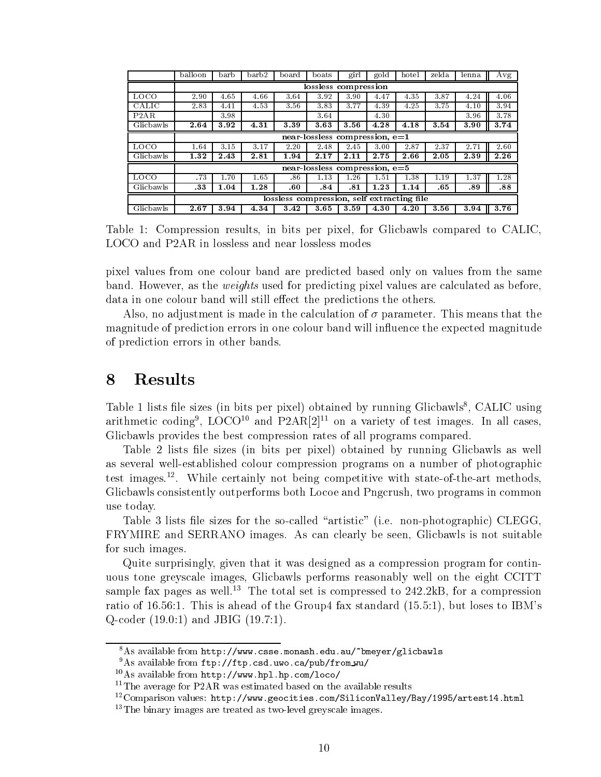|           | balloon | barb | barb2 | board                                      | boats                            | girl | gold | hotel | zelda | lenna | Avg  |
|-----------|---------|------|-------|--------------------------------------------|----------------------------------|------|------|-------|-------|-------|------|
|           |         |      |       |                                            | lossless compression             |      |      |       |       |       |      |
| LOCO      | 2.90    | 4.65 | 4.66  | 3.64                                       | 3.92                             | 3.90 | 4.47 | 4.35  | 3.87  | 4.24  | 4.06 |
| CALIC     | 2.83    | 4.41 | 4.53  | 3.56                                       | 3.83                             | 3.77 | 4.39 | 4.25  | 3.75  | 4.10  | 3.94 |
| P2AR      |         | 3.98 |       |                                            | 3.64                             |      | 4.30 |       |       | 3.96  | 3.78 |
| Glicbawls | 2.64    | 3.92 | 4.31  | 3.39                                       | 3.63                             | 3.56 | 4.28 | 4.18  | 3.54  | 3.90  | 3.74 |
|           |         |      |       |                                            | near-lossless compression, $e=1$ |      |      |       |       |       |      |
| LOCO      | 1.64    | 3.15 | 3.17  | 2.20                                       | 2.48                             | 2.45 | 3.00 | 2.87  | 2.37  | 2.71  | 2.60 |
| Glicbawls | 1.32    | 2.43 | 2.81  | 1.94                                       | 2.17                             | 2.11 | 2.75 | 2.66  | 2.05  | 2.39  | 2.26 |
|           |         |      |       |                                            | near-lossless compression, $e=5$ |      |      |       |       |       |      |
| LOCO      | .73     | 1.70 | 1.65  | .86                                        | 1.13                             | 1.26 | 1.51 | 1.38  | 1.19  | .37   | 1.28 |
| Glicbawls | .33     | 1.04 | 1.28  | .60                                        | .84                              | .81  | 1.23 | 1.14  | .65   | .89   | .88  |
|           |         |      |       | lossless compression, self extracting file |                                  |      |      |       |       |       |      |
| Glicbawls | 2.67    | 3.94 | 4.34  | 3.42                                       | 3.65                             | 3.59 | 4.30 | 4.20  | 3.56  | 3.94  | 3.76 |

Table Compression results in bits per pixel for Glicbawls compared to CALIC LOCO and P2AR in lossless and near lossless modes

pixel values from one colour band are predicted based only on values from the same band. However, as the *weights* used for predicting pixel values are calculated as before, data in one colour band will still effect the predictions the others.

Also no adjustment is made in the calculation of - parameter This means that the magnitude of prediction errors in one colour band will influence the expected magnitude of prediction errors in other bands

#### Results 8

Table I lists life sizes (in bits per pixel) obtained by running Glicbawls, CALIC using arithmetic coding  $\,$  LOCO  $^{\circ}$  and PZARIZE on a variety of test images. In all cases, Glicbawls provides the best compression rates of all programs compared

Table 2 lists file sizes (in bits per pixel) obtained by running Glicbawls as well as several well-established colour compression programs on a number of photographic test images. Twille certainly not being competitive with state-of-the-art methods, Glicbawls consistently outperforms both Locoe and Pngcrush, two programs in common use today

Table lists le sizes for the so-called artistic ie non-photographic CLEGG FRYMIRE and SERRANO images. As can clearly be seen, Glicbawls is not suitable for such images

Quite surprisingly given that it was designed as a compression program for continuous tone greyscale images, Glicbawls performs reasonably well on the eight CCITT sample fax pages as well.<sup>13</sup> The total set is compressed to  $242.2kB$ , for a compression ratio of the Group fax standard in the Group fax standard control of the Group fax standard in the Group fax s  $\alpha$  coder  $\alpha$  and  $\alpha$  coder  $\alpha$  and  $\alpha$  and  $\alpha$  and  $\alpha$  and  $\alpha$  and  $\alpha$  and  $\alpha$  and  $\alpha$  and  $\alpha$  and  $\alpha$  and  $\alpha$  and  $\alpha$  and  $\alpha$  and  $\alpha$  and  $\alpha$  and  $\alpha$  and  $\alpha$  and  $\alpha$  and  $\alpha$  and  $\alpha$  and  $\alpha$  and

<sup>-</sup>As available from nttp://www.csse.monash.edu.au/ bmeyer/glicbawis

As available from fup://fup.csd.uwo.ca/pub/from\_wu/

As available from nttp://www.npl.np.com/10c0/

 $11$ The average for P2AR was estimated based on the available results

<sup>--</sup>Comparison values: nttp://www.geocities.com/Siliconvalley/Bay/1995/artesti4.ntml

 $\cdot$  The binary images are treated as two-level greyscale images.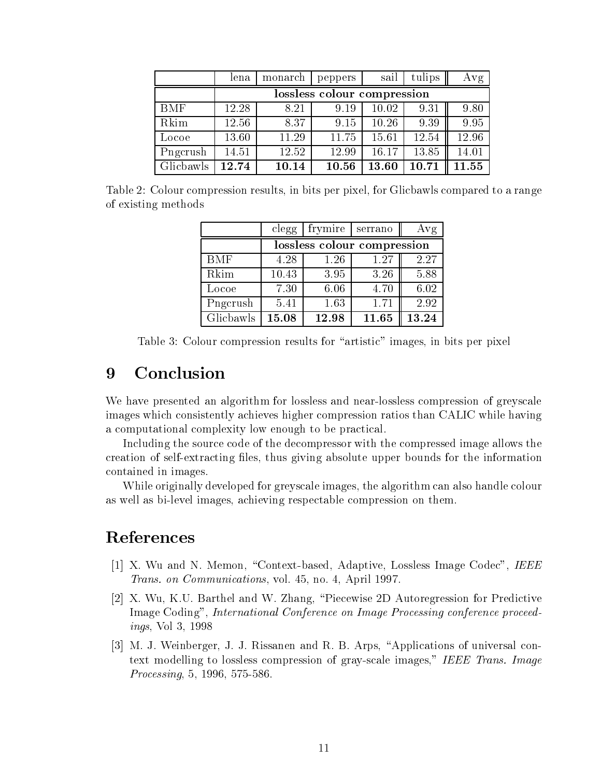|            | lena  | monarch | peppers                     | sail  | tulips | Avg   |
|------------|-------|---------|-----------------------------|-------|--------|-------|
|            |       |         | lossless colour compression |       |        |       |
| <b>BMF</b> | 12.28 | 8.21    | 9.19                        | 10.02 | 9.31   | 9.80  |
| Rkim       | 12.56 | 8.37    | 9.15                        | 10.26 | 9.39   | 9.95  |
| Locoe      | 13.60 | 11.29   | 11.75                       | 15.61 | 12.54  | 12.96 |
| Pngcrush   | 14.51 | 12.52   | 12.99                       | 16.17 | 13.85  | 14.01 |
| Glicbawls  | 12.74 | 10.14   | 10.56                       | 13.60 | 10.71  | 11.55 |

Table 2: Colour compression results, in bits per pixel, for Glicbawls compared to a range of existing methods

|            | clegg                       | frymire | serrano | Avg   |  |  |
|------------|-----------------------------|---------|---------|-------|--|--|
|            | lossless colour compression |         |         |       |  |  |
| <b>BMF</b> | 4.28                        | 1.26    | 1.27    | 2.27  |  |  |
| Rkim       | 10.43                       | 3.95    | 3.26    | 5.88  |  |  |
| Locoe      | 7.30                        | 6.06    | 4.70    | 6.02  |  |  |
| Pngcrush   | 5.41                        | 1.63    | 1.71    | 2.92  |  |  |
| Glicbawls  | 15.08                       | 12.98   | 11.65   | 13.24 |  |  |

Table 3: Colour compression results for "artistic" images, in bits per pixel

## 9 Conclusion

we have presented and algorithm for lossless and near-form for lossless and near-form  $\alpha$  greyscale images which consistently achieves higher compression ratios than CALIC while having a computational complexity low enough to be practical

Including the source code of the decompressor with the compressed image allows the extracting less through core information  $\pi$  . The information is proposed for the information of the information contained in images

While originally developed for greyscale images, the algorithm can also handle colour as well as bi-compression on the compression on the compression on the compression on the compression on the model of  $\alpha$ 

## References

- ist van die heerste verskeid van die deur die het die het die heerste see van die volwer die eerste van die he Trans- on Communication and Communications of the present of the state of the state of the state of the state o
- [2] X. Wu, K.U. Barthel and W. Zhang, "Piecewise 2D Autoregression for Predictive Image Coding", International Conference on Image Processing conference proceedings van die stellings van die stellings van die stellings van die stellings van die stellings van die stellin
- [3] M. J. Weinberger, J. J. Rissanen and R. B. Arps, "Applications of universal context modelling to lossless compression of gray-scale images; indicate internal and  $\sim$ Processing -